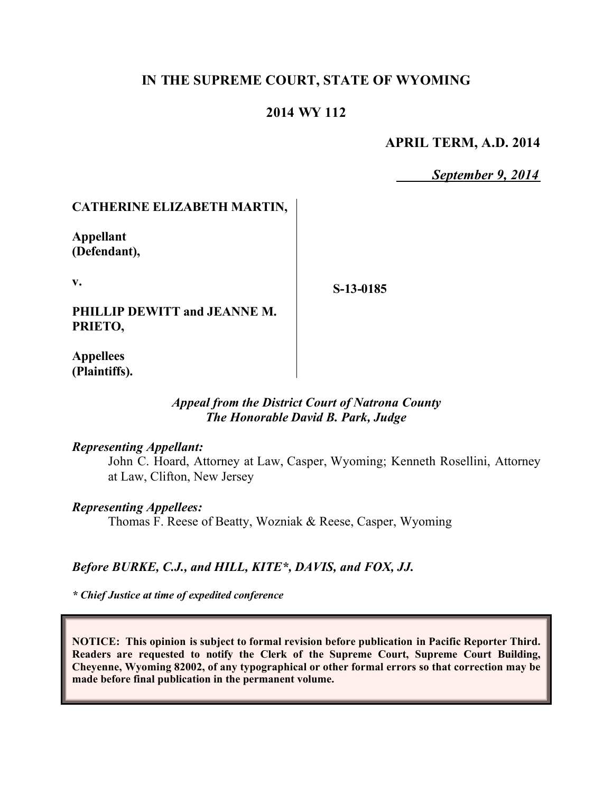# **IN THE SUPREME COURT, STATE OF WYOMING**

### **2014 WY 112**

### **APRIL TERM, A.D. 2014**

*September 9, 2014*

### **CATHERINE ELIZABETH MARTIN,**

**Appellant (Defendant),**

**v.**

**S-13-0185**

**PHILLIP DEWITT and JEANNE M. PRIETO,**

**Appellees (Plaintiffs).**

### *Appeal from the District Court of Natrona County The Honorable David B. Park, Judge*

#### *Representing Appellant:*

John C. Hoard, Attorney at Law, Casper, Wyoming; Kenneth Rosellini, Attorney at Law, Clifton, New Jersey

#### *Representing Appellees:*

Thomas F. Reese of Beatty, Wozniak & Reese, Casper, Wyoming

### *Before BURKE, C.J., and HILL, KITE\*, DAVIS, and FOX, JJ.*

*\* Chief Justice at time of expedited conference* 

**NOTICE: This opinion is subject to formal revision before publication in Pacific Reporter Third. Readers are requested to notify the Clerk of the Supreme Court, Supreme Court Building, Cheyenne, Wyoming 82002, of any typographical or other formal errors so that correction may be made before final publication in the permanent volume.**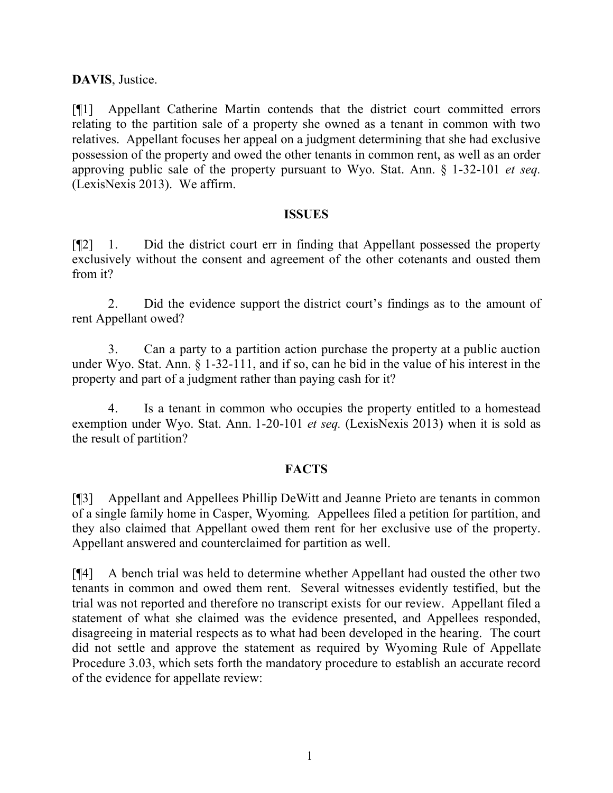### **DAVIS**, Justice.

[¶1] Appellant Catherine Martin contends that the district court committed errors relating to the partition sale of a property she owned as a tenant in common with two relatives. Appellant focuses her appeal on a judgment determining that she had exclusive possession of the property and owed the other tenants in common rent, as well as an order approving public sale of the property pursuant to Wyo. Stat. Ann. § 1-32-101 *et seq.* (LexisNexis 2013). We affirm.

#### **ISSUES**

[¶2] 1. Did the district court err in finding that Appellant possessed the property exclusively without the consent and agreement of the other cotenants and ousted them from it?

2. Did the evidence support the district court's findings as to the amount of rent Appellant owed?

3. Can a party to a partition action purchase the property at a public auction under Wyo. Stat. Ann. § 1-32-111, and if so, can he bid in the value of his interest in the property and part of a judgment rather than paying cash for it?

4. Is a tenant in common who occupies the property entitled to a homestead exemption under Wyo. Stat. Ann. 1-20-101 *et seq.* (LexisNexis 2013) when it is sold as the result of partition?

### **FACTS**

[¶3] Appellant and Appellees Phillip DeWitt and Jeanne Prieto are tenants in common of a single family home in Casper, Wyoming. Appellees filed a petition for partition, and they also claimed that Appellant owed them rent for her exclusive use of the property. Appellant answered and counterclaimed for partition as well.

[¶4] A bench trial was held to determine whether Appellant had ousted the other two tenants in common and owed them rent. Several witnesses evidently testified, but the trial was not reported and therefore no transcript exists for our review. Appellant filed a statement of what she claimed was the evidence presented, and Appellees responded, disagreeing in material respects as to what had been developed in the hearing. The court did not settle and approve the statement as required by Wyoming Rule of Appellate Procedure 3.03, which sets forth the mandatory procedure to establish an accurate record of the evidence for appellate review: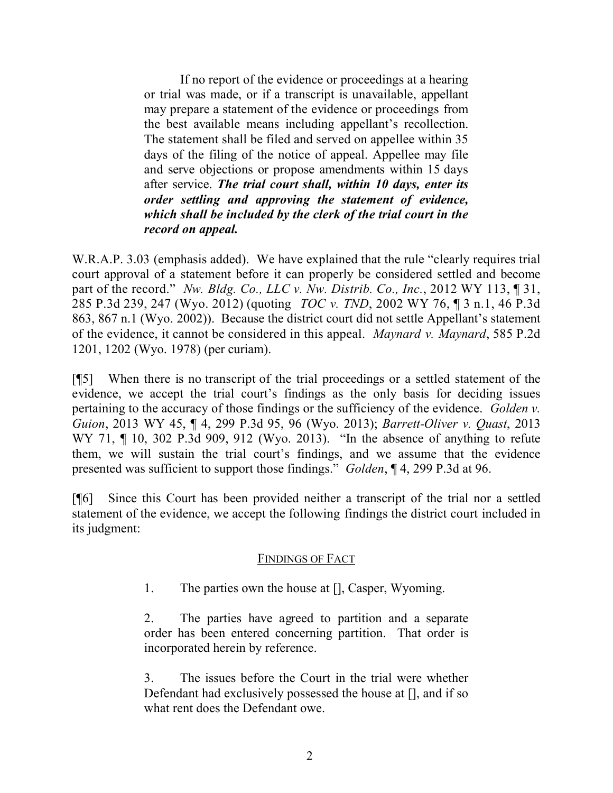If no report of the evidence or proceedings at a hearing or trial was made, or if a transcript is unavailable, appellant may prepare a statement of the evidence or proceedings from the best available means including appellant's recollection. The statement shall be filed and served on appellee within 35 days of the filing of the notice of appeal. Appellee may file and serve objections or propose amendments within 15 days after service. *The trial court shall, within 10 days, enter its order settling and approving the statement of evidence, which shall be included by the clerk of the trial court in the record on appeal.*

W.R.A.P. 3.03 (emphasis added). We have explained that the rule "clearly requires trial court approval of a statement before it can properly be considered settled and become part of the record." *Nw. Bldg. Co., LLC v. Nw. Distrib. Co., Inc.*, 2012 WY 113, ¶ 31, 285 P.3d 239, 247 (Wyo. 2012) (quoting *TOC v. TND*, 2002 WY 76, ¶ 3 n.1, 46 P.3d 863, 867 n.1 (Wyo. 2002)). Because the district court did not settle Appellant's statement of the evidence, it cannot be considered in this appeal. *Maynard v. Maynard*, 585 P.2d 1201, 1202 (Wyo. 1978) (per curiam).

[¶5] When there is no transcript of the trial proceedings or a settled statement of the evidence, we accept the trial court's findings as the only basis for deciding issues pertaining to the accuracy of those findings or the sufficiency of the evidence. *Golden v. Guion*, 2013 WY 45, ¶ 4, 299 P.3d 95, 96 (Wyo. 2013); *Barrett-Oliver v. Quast*, 2013 WY 71, ¶ 10, 302 P.3d 909, 912 (Wyo. 2013). "In the absence of anything to refute them, we will sustain the trial court's findings, and we assume that the evidence presented was sufficient to support those findings." *Golden*, ¶ 4, 299 P.3d at 96.

[¶6] Since this Court has been provided neither a transcript of the trial nor a settled statement of the evidence, we accept the following findings the district court included in its judgment:

### FINDINGS OF FACT

1. The parties own the house at [], Casper, Wyoming.

2. The parties have agreed to partition and a separate order has been entered concerning partition. That order is incorporated herein by reference.

3. The issues before the Court in the trial were whether Defendant had exclusively possessed the house at [], and if so what rent does the Defendant owe.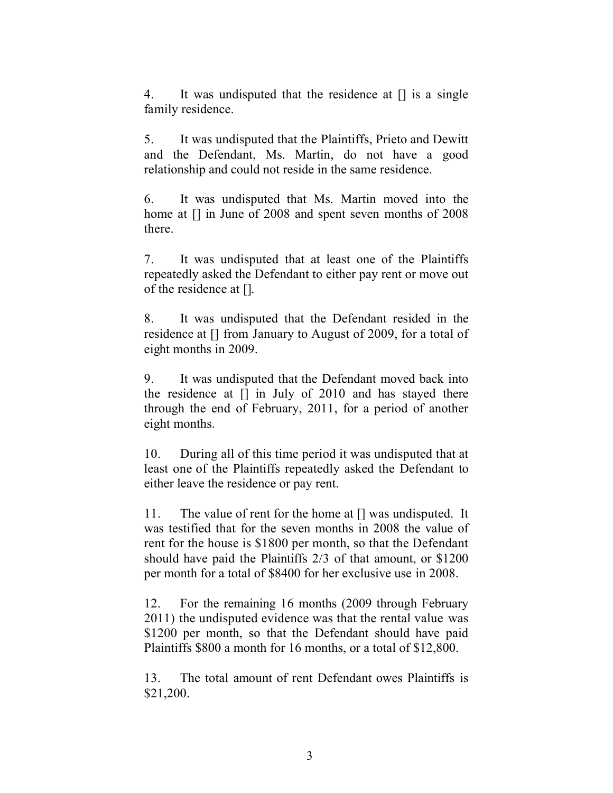4. It was undisputed that the residence at [] is a single family residence.

5. It was undisputed that the Plaintiffs, Prieto and Dewitt and the Defendant, Ms. Martin, do not have a good relationship and could not reside in the same residence.

6. It was undisputed that Ms. Martin moved into the home at  $\lceil \cdot \rceil$  in June of 2008 and spent seven months of 2008 there.

7. It was undisputed that at least one of the Plaintiffs repeatedly asked the Defendant to either pay rent or move out of the residence at [].

8. It was undisputed that the Defendant resided in the residence at [] from January to August of 2009, for a total of eight months in 2009.

9. It was undisputed that the Defendant moved back into the residence at [] in July of 2010 and has stayed there through the end of February, 2011, for a period of another eight months.

10. During all of this time period it was undisputed that at least one of the Plaintiffs repeatedly asked the Defendant to either leave the residence or pay rent.

11. The value of rent for the home at [] was undisputed. It was testified that for the seven months in 2008 the value of rent for the house is \$1800 per month, so that the Defendant should have paid the Plaintiffs 2/3 of that amount, or \$1200 per month for a total of \$8400 for her exclusive use in 2008.

12. For the remaining 16 months (2009 through February 2011) the undisputed evidence was that the rental value was \$1200 per month, so that the Defendant should have paid Plaintiffs \$800 a month for 16 months, or a total of \$12,800.

13. The total amount of rent Defendant owes Plaintiffs is \$21,200.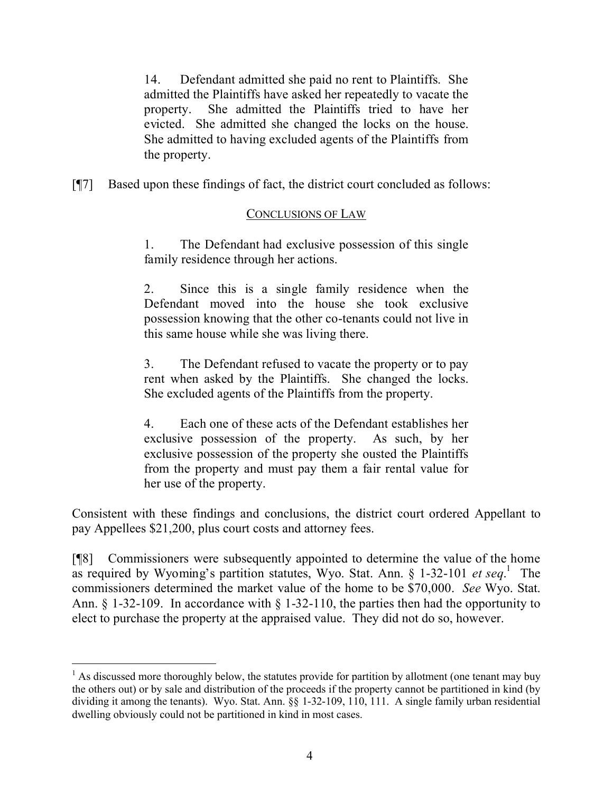14. Defendant admitted she paid no rent to Plaintiffs. She admitted the Plaintiffs have asked her repeatedly to vacate the property. She admitted the Plaintiffs tried to have her evicted. She admitted she changed the locks on the house. She admitted to having excluded agents of the Plaintiffs from the property.

[¶7] Based upon these findings of fact, the district court concluded as follows:

# CONCLUSIONS OF LAW

1. The Defendant had exclusive possession of this single family residence through her actions.

2. Since this is a single family residence when the Defendant moved into the house she took exclusive possession knowing that the other co-tenants could not live in this same house while she was living there.

3. The Defendant refused to vacate the property or to pay rent when asked by the Plaintiffs. She changed the locks. She excluded agents of the Plaintiffs from the property.

4. Each one of these acts of the Defendant establishes her exclusive possession of the property. As such, by her exclusive possession of the property she ousted the Plaintiffs from the property and must pay them a fair rental value for her use of the property.

Consistent with these findings and conclusions, the district court ordered Appellant to pay Appellees \$21,200, plus court costs and attorney fees.

[¶8] Commissioners were subsequently appointed to determine the value of the home as required by Wyoming's partition statutes, Wyo. Stat. Ann. § 1-32-101 *et seq.*<sup>1</sup> The commissioners determined the market value of the home to be \$70,000. *See* Wyo. Stat. Ann. § 1-32-109. In accordance with § 1-32-110, the parties then had the opportunity to elect to purchase the property at the appraised value. They did not do so, however.

 $\overline{a}$ 

 $<sup>1</sup>$  As discussed more thoroughly below, the statutes provide for partition by allotment (one tenant may buy</sup> the others out) or by sale and distribution of the proceeds if the property cannot be partitioned in kind (by dividing it among the tenants). Wyo. Stat. Ann. §§ 1-32-109, 110, 111. A single family urban residential dwelling obviously could not be partitioned in kind in most cases.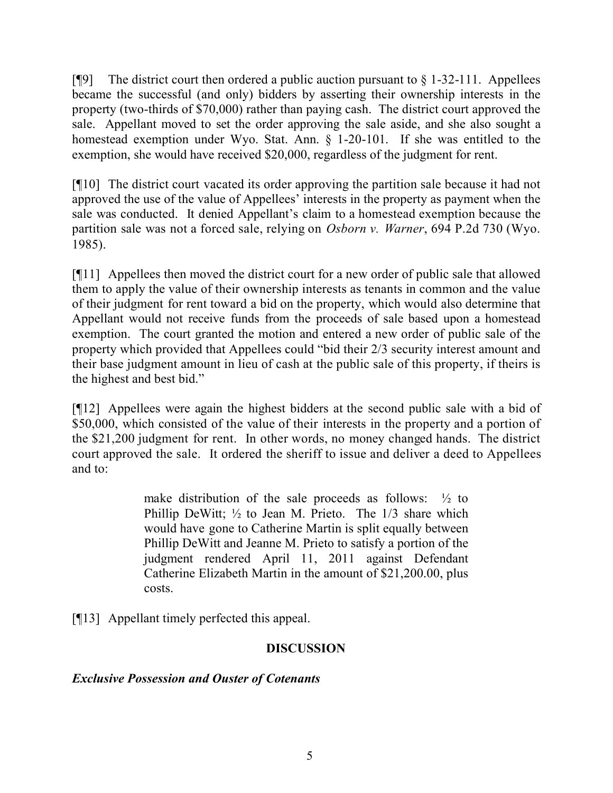[ $[$ [9] The district court then ordered a public auction pursuant to  $\S$  1-32-111. Appellees became the successful (and only) bidders by asserting their ownership interests in the property (two-thirds of \$70,000) rather than paying cash. The district court approved the sale. Appellant moved to set the order approving the sale aside, and she also sought a homestead exemption under Wyo. Stat. Ann. § 1-20-101. If she was entitled to the exemption, she would have received \$20,000, regardless of the judgment for rent.

[¶10] The district court vacated its order approving the partition sale because it had not approved the use of the value of Appellees' interests in the property as payment when the sale was conducted. It denied Appellant's claim to a homestead exemption because the partition sale was not a forced sale, relying on *Osborn v. Warner*, 694 P.2d 730 (Wyo. 1985).

[¶11] Appellees then moved the district court for a new order of public sale that allowed them to apply the value of their ownership interests as tenants in common and the value of their judgment for rent toward a bid on the property, which would also determine that Appellant would not receive funds from the proceeds of sale based upon a homestead exemption. The court granted the motion and entered a new order of public sale of the property which provided that Appellees could "bid their 2/3 security interest amount and their base judgment amount in lieu of cash at the public sale of this property, if theirs is the highest and best bid."

[¶12] Appellees were again the highest bidders at the second public sale with a bid of \$50,000, which consisted of the value of their interests in the property and a portion of the \$21,200 judgment for rent. In other words, no money changed hands. The district court approved the sale. It ordered the sheriff to issue and deliver a deed to Appellees and to:

> make distribution of the sale proceeds as follows:  $\frac{1}{2}$  to Phillip DeWitt; ½ to Jean M. Prieto. The 1/3 share which would have gone to Catherine Martin is split equally between Phillip DeWitt and Jeanne M. Prieto to satisfy a portion of the judgment rendered April 11, 2011 against Defendant Catherine Elizabeth Martin in the amount of \$21,200.00, plus costs.

[¶13] Appellant timely perfected this appeal.

# **DISCUSSION**

# *Exclusive Possession and Ouster of Cotenants*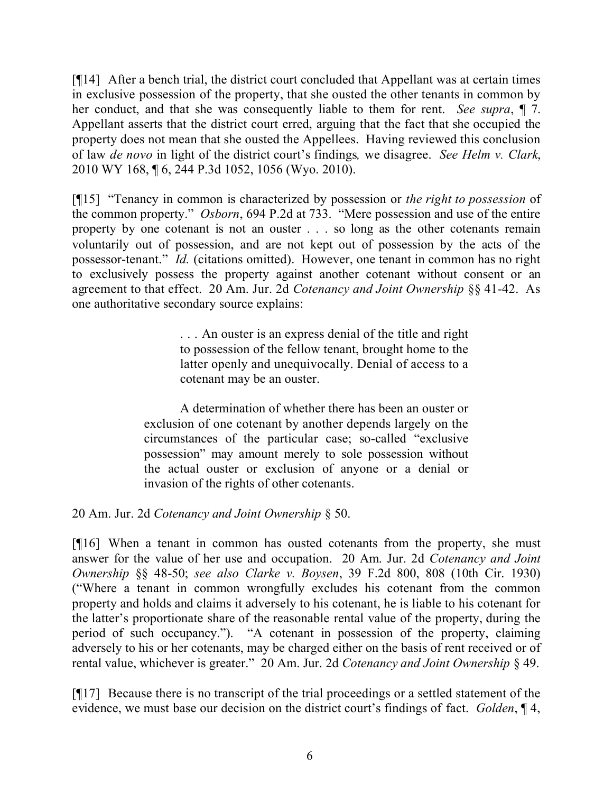[¶14] After a bench trial, the district court concluded that Appellant was at certain times in exclusive possession of the property, that she ousted the other tenants in common by her conduct, and that she was consequently liable to them for rent. *See supra*, ¶ 7. Appellant asserts that the district court erred, arguing that the fact that she occupied the property does not mean that she ousted the Appellees. Having reviewed this conclusion of law *de novo* in light of the district court's findings*,* we disagree. *See Helm v. Clark*, 2010 WY 168, ¶ 6, 244 P.3d 1052, 1056 (Wyo. 2010).

[¶15] "Tenancy in common is characterized by possession or *the right to possession* of the common property." *Osborn*, 694 P.2d at 733. "Mere possession and use of the entire property by one cotenant is not an ouster . . . so long as the other cotenants remain voluntarily out of possession, and are not kept out of possession by the acts of the possessor-tenant." *Id.* (citations omitted). However, one tenant in common has no right to exclusively possess the property against another cotenant without consent or an agreement to that effect. 20 Am. Jur. 2d *Cotenancy and Joint Ownership* §§ 41-42. As one authoritative secondary source explains:

> . . . An ouster is an express denial of the title and right to possession of the fellow tenant, brought home to the latter openly and unequivocally. Denial of access to a cotenant may be an ouster.

A determination of whether there has been an ouster or exclusion of one cotenant by another depends largely on the circumstances of the particular case; so-called "exclusive possession" may amount merely to sole possession without the actual ouster or exclusion of anyone or a denial or invasion of the rights of other cotenants.

20 Am. Jur. 2d *Cotenancy and Joint Ownership* § 50.

[¶16] When a tenant in common has ousted cotenants from the property, she must answer for the value of her use and occupation. 20 Am. Jur. 2d *Cotenancy and Joint Ownership* §§ 48-50; *see also Clarke v. Boysen*, 39 F.2d 800, 808 (10th Cir. 1930) ("Where a tenant in common wrongfully excludes his cotenant from the common property and holds and claims it adversely to his cotenant, he is liable to his cotenant for the latter's proportionate share of the reasonable rental value of the property, during the period of such occupancy."). "A cotenant in possession of the property, claiming adversely to his or her cotenants, may be charged either on the basis of rent received or of rental value, whichever is greater." 20 Am. Jur. 2d *Cotenancy and Joint Ownership* § 49.

[¶17] Because there is no transcript of the trial proceedings or a settled statement of the evidence, we must base our decision on the district court's findings of fact. *Golden*, ¶ 4,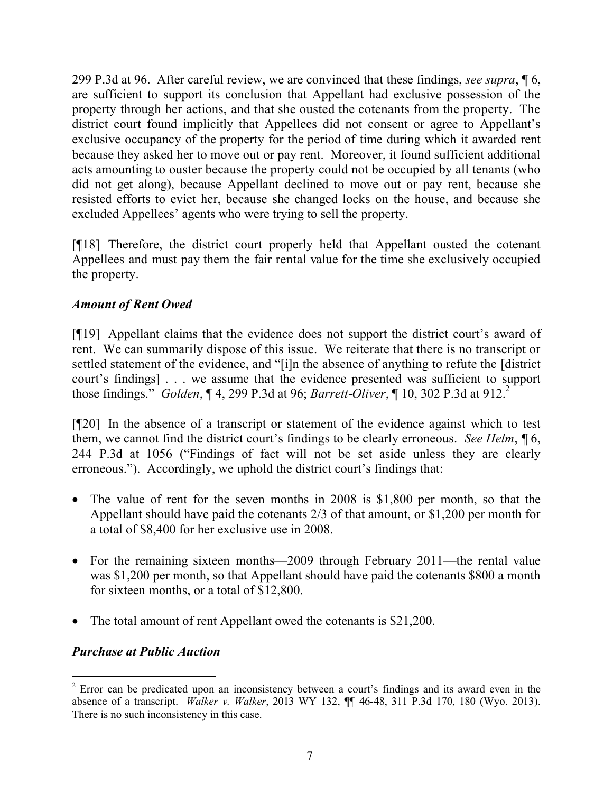299 P.3d at 96. After careful review, we are convinced that these findings, *see supra*, ¶ 6, are sufficient to support its conclusion that Appellant had exclusive possession of the property through her actions, and that she ousted the cotenants from the property. The district court found implicitly that Appellees did not consent or agree to Appellant's exclusive occupancy of the property for the period of time during which it awarded rent because they asked her to move out or pay rent. Moreover, it found sufficient additional acts amounting to ouster because the property could not be occupied by all tenants (who did not get along), because Appellant declined to move out or pay rent, because she resisted efforts to evict her, because she changed locks on the house, and because she excluded Appellees' agents who were trying to sell the property.

[¶18] Therefore, the district court properly held that Appellant ousted the cotenant Appellees and must pay them the fair rental value for the time she exclusively occupied the property.

### *Amount of Rent Owed*

[¶19] Appellant claims that the evidence does not support the district court's award of rent. We can summarily dispose of this issue. We reiterate that there is no transcript or settled statement of the evidence, and "[i]n the absence of anything to refute the [district court's findings] . . . we assume that the evidence presented was sufficient to support those findings." *Golden*, ¶ 4, 299 P.3d at 96; *Barrett-Oliver*, ¶ 10, 302 P.3d at 912.<sup>2</sup>

[¶20] In the absence of a transcript or statement of the evidence against which to test them, we cannot find the district court's findings to be clearly erroneous. *See Helm*, ¶ 6, 244 P.3d at 1056 ("Findings of fact will not be set aside unless they are clearly erroneous."). Accordingly, we uphold the district court's findings that:

- The value of rent for the seven months in 2008 is \$1,800 per month, so that the Appellant should have paid the cotenants 2/3 of that amount, or \$1,200 per month for a total of \$8,400 for her exclusive use in 2008.
- For the remaining sixteen months—2009 through February 2011—the rental value was \$1,200 per month, so that Appellant should have paid the cotenants \$800 a month for sixteen months, or a total of \$12,800.
- The total amount of rent Appellant owed the cotenants is \$21,200.

# *Purchase at Public Auction*

 <sup>2</sup> Error can be predicated upon an inconsistency between a court's findings and its award even in the absence of a transcript. *Walker v. Walker*, 2013 WY 132, ¶¶ 46-48, 311 P.3d 170, 180 (Wyo. 2013). There is no such inconsistency in this case.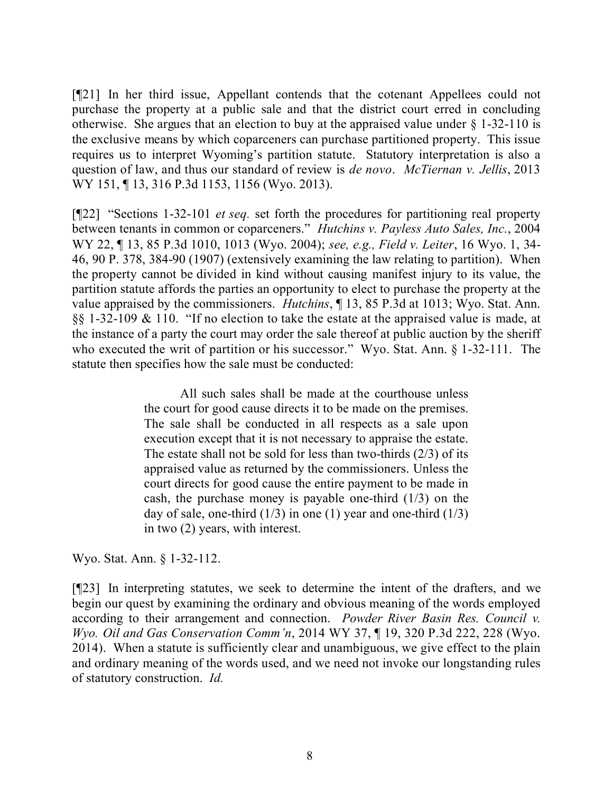[¶21] In her third issue, Appellant contends that the cotenant Appellees could not purchase the property at a public sale and that the district court erred in concluding otherwise. She argues that an election to buy at the appraised value under  $\S$  1-32-110 is the exclusive means by which coparceners can purchase partitioned property. This issue requires us to interpret Wyoming's partition statute. Statutory interpretation is also a question of law, and thus our standard of review is *de novo*. *McTiernan v. Jellis*, 2013 WY 151, 13, 316 P.3d 1153, 1156 (Wyo. 2013).

[¶22] "Sections 1-32-101 *et seq.* set forth the procedures for partitioning real property between tenants in common or coparceners." *Hutchins v. Payless Auto Sales, Inc.*, 2004 WY 22, ¶ 13, 85 P.3d 1010, 1013 (Wyo. 2004); *see, e.g., Field v. Leiter*, 16 Wyo. 1, 34- 46, 90 P. 378, 384-90 (1907) (extensively examining the law relating to partition). When the property cannot be divided in kind without causing manifest injury to its value, the partition statute affords the parties an opportunity to elect to purchase the property at the value appraised by the commissioners. *Hutchins*, ¶ 13, 85 P.3d at 1013; Wyo. Stat. Ann. §§ 1-32-109 & 110. "If no election to take the estate at the appraised value is made, at the instance of a party the court may order the sale thereof at public auction by the sheriff who executed the writ of partition or his successor." Wyo. Stat. Ann. § 1-32-111. The statute then specifies how the sale must be conducted:

> All such sales shall be made at the courthouse unless the court for good cause directs it to be made on the premises. The sale shall be conducted in all respects as a sale upon execution except that it is not necessary to appraise the estate. The estate shall not be sold for less than two-thirds (2/3) of its appraised value as returned by the commissioners. Unless the court directs for good cause the entire payment to be made in cash, the purchase money is payable one-third  $(1/3)$  on the day of sale, one-third  $(1/3)$  in one (1) year and one-third  $(1/3)$ in two (2) years, with interest.

Wyo. Stat. Ann. § 1-32-112.

[¶23] In interpreting statutes, we seek to determine the intent of the drafters, and we begin our quest by examining the ordinary and obvious meaning of the words employed according to their arrangement and connection. *Powder River Basin Res. Council v. Wyo. Oil and Gas Conservation Comm'n*, 2014 WY 37, ¶ 19, 320 P.3d 222, 228 (Wyo. 2014). When a statute is sufficiently clear and unambiguous, we give effect to the plain and ordinary meaning of the words used, and we need not invoke our longstanding rules of statutory construction. *Id.*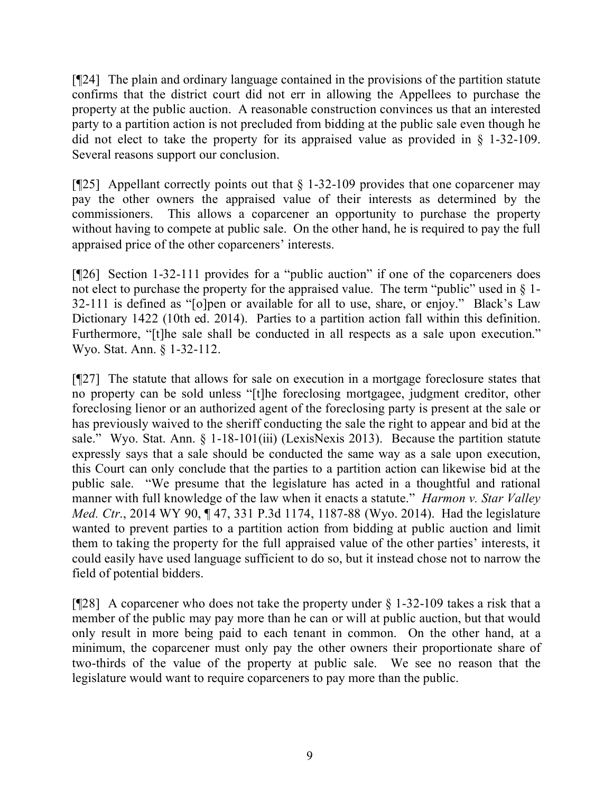[¶24] The plain and ordinary language contained in the provisions of the partition statute confirms that the district court did not err in allowing the Appellees to purchase the property at the public auction. A reasonable construction convinces us that an interested party to a partition action is not precluded from bidding at the public sale even though he did not elect to take the property for its appraised value as provided in § 1-32-109. Several reasons support our conclusion.

[ $[$ 25] Appellant correctly points out that  $\S$  1-32-109 provides that one coparcener may pay the other owners the appraised value of their interests as determined by the commissioners. This allows a coparcener an opportunity to purchase the property without having to compete at public sale. On the other hand, he is required to pay the full appraised price of the other coparceners' interests.

[¶26] Section 1-32-111 provides for a "public auction" if one of the coparceners does not elect to purchase the property for the appraised value. The term "public" used in § 1-32-111 is defined as "[o]pen or available for all to use, share, or enjoy." Black's Law Dictionary 1422 (10th ed. 2014). Parties to a partition action fall within this definition. Furthermore, "[t]he sale shall be conducted in all respects as a sale upon execution." Wyo. Stat. Ann. § 1-32-112.

[¶27] The statute that allows for sale on execution in a mortgage foreclosure states that no property can be sold unless "[t]he foreclosing mortgagee, judgment creditor, other foreclosing lienor or an authorized agent of the foreclosing party is present at the sale or has previously waived to the sheriff conducting the sale the right to appear and bid at the sale." Wyo. Stat. Ann. § 1-18-101(iii) (LexisNexis 2013). Because the partition statute expressly says that a sale should be conducted the same way as a sale upon execution, this Court can only conclude that the parties to a partition action can likewise bid at the public sale. "We presume that the legislature has acted in a thoughtful and rational manner with full knowledge of the law when it enacts a statute." *Harmon v. Star Valley Med. Ctr.*, 2014 WY 90, 147, 331 P.3d 1174, 1187-88 (Wyo. 2014). Had the legislature wanted to prevent parties to a partition action from bidding at public auction and limit them to taking the property for the full appraised value of the other parties' interests, it could easily have used language sufficient to do so, but it instead chose not to narrow the field of potential bidders.

[ $[28]$ ] A coparcener who does not take the property under § 1-32-109 takes a risk that a member of the public may pay more than he can or will at public auction, but that would only result in more being paid to each tenant in common. On the other hand, at a minimum, the coparcener must only pay the other owners their proportionate share of two-thirds of the value of the property at public sale. We see no reason that the legislature would want to require coparceners to pay more than the public.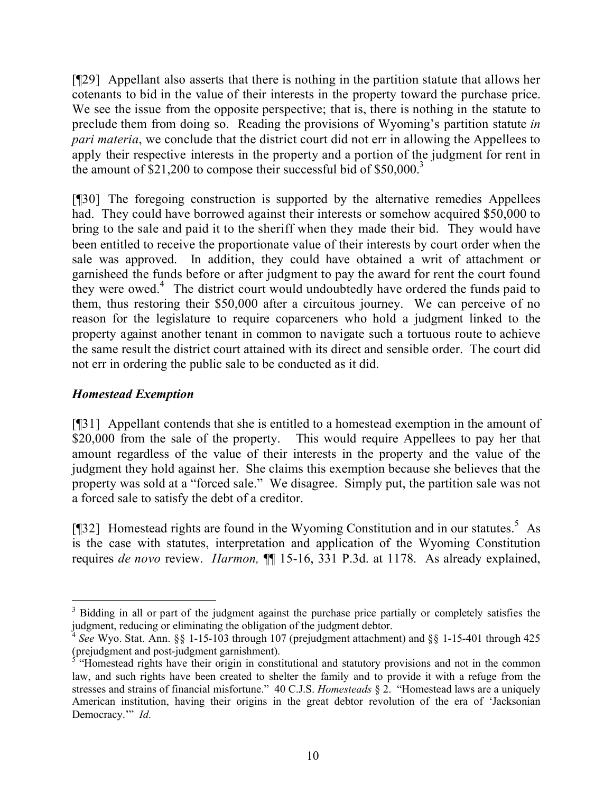[¶29] Appellant also asserts that there is nothing in the partition statute that allows her cotenants to bid in the value of their interests in the property toward the purchase price. We see the issue from the opposite perspective; that is, there is nothing in the statute to preclude them from doing so. Reading the provisions of Wyoming's partition statute *in pari materia*, we conclude that the district court did not err in allowing the Appellees to apply their respective interests in the property and a portion of the judgment for rent in the amount of  $$21,200$  to compose their successful bid of  $$50,000$ <sup>3</sup>

[¶30] The foregoing construction is supported by the alternative remedies Appellees had. They could have borrowed against their interests or somehow acquired \$50,000 to bring to the sale and paid it to the sheriff when they made their bid. They would have been entitled to receive the proportionate value of their interests by court order when the sale was approved. In addition, they could have obtained a writ of attachment or garnisheed the funds before or after judgment to pay the award for rent the court found they were owed. $4$  The district court would undoubtedly have ordered the funds paid to them, thus restoring their \$50,000 after a circuitous journey. We can perceive of no reason for the legislature to require coparceners who hold a judgment linked to the property against another tenant in common to navigate such a tortuous route to achieve the same result the district court attained with its direct and sensible order. The court did not err in ordering the public sale to be conducted as it did.

### *Homestead Exemption*

[¶31] Appellant contends that she is entitled to a homestead exemption in the amount of \$20,000 from the sale of the property. This would require Appellees to pay her that amount regardless of the value of their interests in the property and the value of the judgment they hold against her. She claims this exemption because she believes that the property was sold at a "forced sale." We disagree. Simply put, the partition sale was not a forced sale to satisfy the debt of a creditor.

[ $[$ ]<sup>32</sup>] Homestead rights are found in the Wyoming Constitution and in our statutes.<sup>5</sup> As is the case with statutes, interpretation and application of the Wyoming Constitution requires *de novo* review. *Harmon,* ¶¶ 15-16, 331 P.3d. at 1178. As already explained,

 $\overline{a}$ <sup>3</sup> Bidding in all or part of the judgment against the purchase price partially or completely satisfies the judgment, reducing or eliminating the obligation of the judgment debtor.

<sup>4</sup> *See* Wyo. Stat. Ann. §§ 1-15-103 through 107 (prejudgment attachment) and §§ 1-15-401 through 425

<sup>(</sup>prejudgment and post-judgment garnishment). 5 "Homestead rights have their origin in constitutional and statutory provisions and not in the common law, and such rights have been created to shelter the family and to provide it with a refuge from the stresses and strains of financial misfortune." 40 C.J.S. *Homesteads* § 2. "Homestead laws are a uniquely American institution, having their origins in the great debtor revolution of the era of 'Jacksonian Democracy.'" *Id.*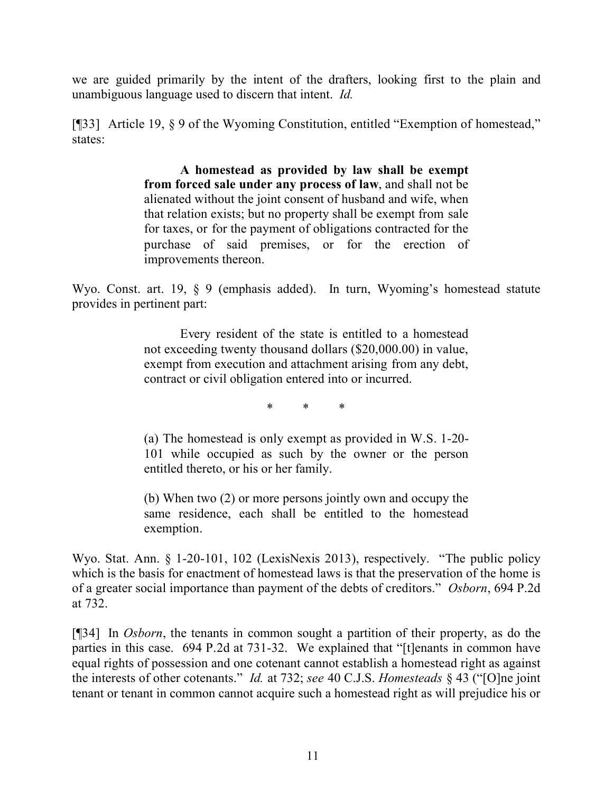we are guided primarily by the intent of the drafters, looking first to the plain and unambiguous language used to discern that intent. *Id.*

[¶33] Article 19, § 9 of the Wyoming Constitution, entitled "Exemption of homestead," states:

> **A homestead as provided by law shall be exempt from forced sale under any process of law**, and shall not be alienated without the joint consent of husband and wife, when that relation exists; but no property shall be exempt from sale for taxes, or for the payment of obligations contracted for the purchase of said premises, or for the erection of improvements thereon.

Wyo. Const. art. 19, § 9 (emphasis added). In turn, Wyoming's homestead statute provides in pertinent part:

> Every resident of the state is entitled to a homestead not exceeding twenty thousand dollars (\$20,000.00) in value, exempt from execution and attachment arising from any debt, contract or civil obligation entered into or incurred.

> > \* \* \*

(a) The homestead is only exempt as provided in W.S. 1-20- 101 while occupied as such by the owner or the person entitled thereto, or his or her family.

(b) When two (2) or more persons jointly own and occupy the same residence, each shall be entitled to the homestead exemption.

Wyo. Stat. Ann. § 1-20-101, 102 (LexisNexis 2013), respectively. "The public policy which is the basis for enactment of homestead laws is that the preservation of the home is of a greater social importance than payment of the debts of creditors." *Osborn*, 694 P.2d at 732.

[¶34] In *Osborn*, the tenants in common sought a partition of their property, as do the parties in this case. 694 P.2d at 731-32. We explained that "[t]enants in common have equal rights of possession and one cotenant cannot establish a homestead right as against the interests of other cotenants." *Id.* at 732; *see* 40 C.J.S. *Homesteads* § 43 ("[O]ne joint tenant or tenant in common cannot acquire such a homestead right as will prejudice his or